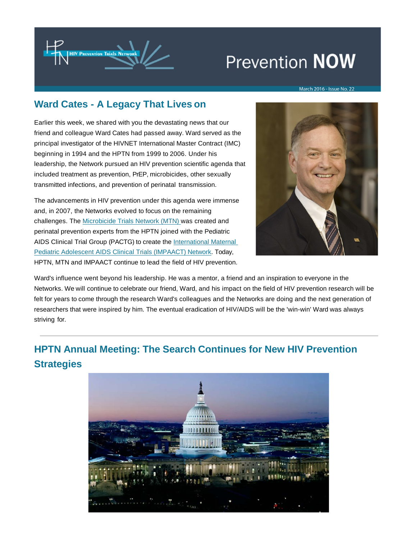

# **Prevention NOW**

#### March 2016 - Issue No. 22

# **Ward Cates - A Legacy That Lives on**

Earlier this week, we shared with you the devastating news that our friend and colleague Ward Cates had passed away. Ward served as the principal investigator of the HIVNET International Master Contract (IMC) beginning in 1994 and the HPTN from 1999 to 2006. Under his leadership, the Network pursued an HIV prevention scientific agenda that included treatment as prevention, PrEP, microbicides, other sexually transmitted infections, and prevention of perinatal transmission.

The advancements in HIV prevention under this agenda were immense and, in 2007, the Networks evolved to focus on the remaining challenges. The [Microbicide Trials Network \(MTN\) w](https://t.e2ma.net/click/gjmqn/wbvofp/sk3hdi)as created and perinatal prevention experts from the HPTN joined with the Pediatric AIDS Clinical Trial Group (PACTG) to create the International Maternal [Pediatric Adolescent AIDS Clinical Trials \(IMPAACT\) Network. Today,](https://t.e2ma.net/click/gjmqn/wbvofp/8c4hdi) HPTN, MTN and IMPAACT continue to lead the field of HIV prevention.



Ward's influence went beyond his leadership. He was a mentor, a friend and an inspiration to everyone in the Networks. We will continue to celebrate our friend, Ward, and his impact on the field of HIV prevention research will be felt for years to come through the research Ward's colleagues and the Networks are doing and the next generation of researchers that were inspired by him. The eventual eradication of HIV/AIDS will be the 'win-win' Ward was always striving for.

# **HPTN Annual Meeting: The Search Continues for New HIV Prevention Strategies**

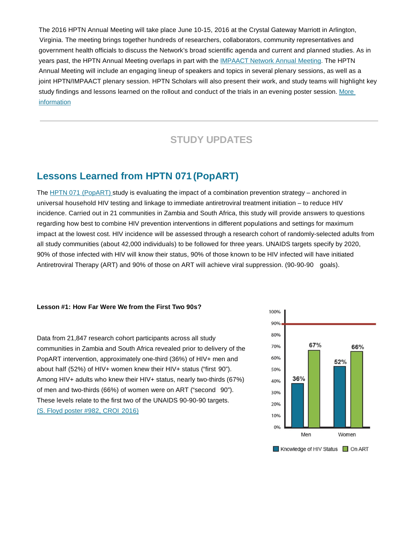The 2016 HPTN Annual Meeting will take place June 10-15, 2016 at the Crystal Gateway Marriott in Arlington, Virginia. The meeting brings together hundreds of researchers, collaborators, community representatives and government health officials to discuss the Network's broad scientific agenda and current and planned studies. As in years past, the HPTN Annual Meeting overlaps in part with the [IMPAACT Network Annual Meeting.](https://t.e2ma.net/click/gjmqn/wbvofp/o54hdi) The HPTN Annual Meeting will include an engaging lineup of speakers and topics in several plenary sessions, as well as a joint HPTN/IMPAACT plenary session. HPTN Scholars will also present their work, and study teams will highlight key [study findings and lessons learned on the rollout and conduct of the trials in an evening poster session. More](https://t.e2ma.net/click/gjmqn/wbvofp/4x5hdi)  [information](https://t.e2ma.net/click/gjmqn/wbvofp/4x5hdi)

# **STUDY UPDATES**

### **Lessons Learned from HPTN 071 (PopART)**

The [HPTN 071 \(PopART\) s](https://t.e2ma.net/click/gjmqn/wbvofp/kq6hdi)tudy is evaluating the impact of a combination prevention strategy – anchored in universal household HIV testing and linkage to immediate antiretroviral treatment initiation – to reduce HIV incidence. Carried out in 21 communities in Zambia and South Africa, this study will provide answers to questions regarding how best to combine HIV prevention interventions in different populations and settings for maximum impact at the lowest cost. HIV incidence will be assessed through a research cohort of randomly-selected adults from all study communities (about 42,000 individuals) to be followed for three years. UNAIDS targets specify by 2020, 90% of those infected with HIV will know their status, 90% of those known to be HIV infected will have initiated Antiretroviral Therapy (ART) and 90% of those on ART will achieve viral suppression. (90-90-90 goals).

#### **Lesson #1: How Far Were We from the First Two 90s?**

Data from 21,847 research cohort participants across all study communities in Zambia and South Africa revealed prior to delivery of the PopART intervention, approximately one-third (36%) of HIV+ men and about half (52%) of HIV+ women knew their HIV+ status ("first 90"). Among HIV+ adults who knew their HIV+ status, nearly two-thirds (67%) of men and two-thirds (66%) of women were on ART ("second 90"). These levels relate to the first two of the UNAIDS 90-90-90 targets. (S. Floyd poster #982, CROI 2016)

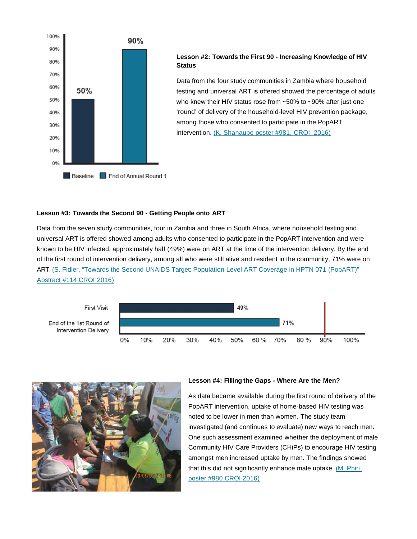

#### **Lesson #2: Towards the First 90 - Increasing Knowledge of HIV Status**

Data from the four study communities in Zambia where household testing and universal ART is offered showed the percentage of adults who knew their HIV status rose from ~50% to ~90% after just one 'round' of delivery of the household-level HIV prevention package, among those who consented to participate in the PopART intervention. [\(K. Shanaube poster #981, CROI 2016\)](https://t.e2ma.net/click/gjmqn/wbvofp/gb8hdi)

#### **Lesson #3: Towards the Second 90 - Getting People onto ART**

Data from the seven study communities, four in Zambia and three in South Africa, where household testing and universal ART is offered showed among adults who consented to participate in the PopART intervention and were known to be HIV infected, approximately half (49%) were on ART at the time of the intervention delivery. By the end of the first round of intervention delivery, among all who were still alive and resident in the community, 71% were on [ART. \(S. Fidler, "Towards the Second UNAIDS Target: Population Level ART Coverage in HPTN 071 \(PopART\)"](https://t.e2ma.net/click/gjmqn/wbvofp/w38hdi)  [Abstract #114 CROI](https://t.e2ma.net/click/gjmqn/wbvofp/w38hdi) 2016)





#### **Lesson #4: Filling the Gaps - Where Are the Men?**

As data became available during the first round of delivery of the PopART intervention, uptake of home-based HIV testing was noted to be lower in men than women. The study team investigated (and continues to evaluate) new ways to reach men. One such assessment examined whether the deployment of male Community HIV Care Providers (CHiPs) to encourage HIV testing amongst men increased uptake by men. The findings showed that this did not significantly enhance male uptake. (M. Phiri [poster #980 CROI 2016\)](https://t.e2ma.net/click/gjmqn/wbvofp/cw9hdi)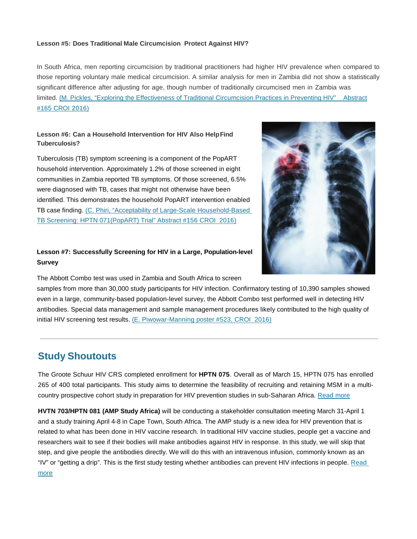#### **Lesson #5: Does Traditional Male Circumcision Protect Against HIV?**

In South Africa, men reporting circumcision by traditional practitioners had higher HIV prevalence when compared to those reporting voluntary male medical circumcision. A similar analysis for men in Zambia did not show a statistically significant difference after adjusting for age, though number of traditionally circumcised men in Zambia was [limited. \(M. Pickles, "Exploring the Effectiveness of Traditional Circumcision Practices in Preventing HIV" Abstract](https://t.e2ma.net/click/gjmqn/wbvofp/8gbidi) [#165 CROI](https://t.e2ma.net/click/gjmqn/wbvofp/8gbidi) 2016)

#### **Lesson #6: Can a Household Intervention for HIV Also HelpFind Tuberculosis?**

Tuberculosis (TB) symptom screening is a component of the PopART household intervention. Approximately 1.2% of those screened in eight communities in Zambia reported TB symptoms. Of those screened, 6.5% were diagnosed with TB, cases that might not otherwise have been identified. This demonstrates the household PopART intervention enabled [TB case finding. \(C. Phiri, "Acceptability of Large-Scale Household-Based](https://t.e2ma.net/click/gjmqn/wbvofp/o9bidi)  [TB Screening: HPTN 071\(PopART\) Trial" Abstract #156 CROI 2016\)](https://t.e2ma.net/click/gjmqn/wbvofp/o9bidi)

### **Lesson #7: Successfully Screening for HIV in a Large, Population-level Survey**

The Abbott Combo test was used in Zambia and South Africa to screen

samples from more than 30,000 study participants for HIV infection. Confirmatory testing of 10,390 samples showed even in a large, community-based population-level survey, the Abbott Combo test performed well in detecting HIV antibodies. Special data management and sample management procedures likely contributed to the high quality of initial HIV screening test results. [\(E. Piwowar-Manning poster #523, CROI 2016\)](https://t.e2ma.net/click/gjmqn/wbvofp/41cidi)

### **Study Shoutouts**

The Groote Schuur HIV CRS completed enrollment for **HPTN 075**. Overall as of March 15, HPTN 075 has enrolled 265 of 400 total participants. This study aims to determine the feasibility of recruiting and retaining MSM in a multicountry prospective cohort study in preparation for HIV prevention studies in sub-Saharan Africa. Read more

**HVTN 703/HPTN 081 (AMP Study Africa)** will be conducting a stakeholder consultation meeting March 31-April 1 and a study training April 4-8 in Cape Town, South Africa. The AMP study is a new idea for HIV prevention that is related to what has been done in HIV vaccine research. In traditional HIV vaccine studies, people get a vaccine and researchers wait to see if their bodies will make antibodies against HIV in response. In this study, we will skip that step, and give people the antibodies directly. We will do this with an intravenous infusion, commonly known as an ["IV" or "getting a drip". This is the first study testing whether antibodies can prevent HIV infections in people. Read](https://t.e2ma.net/click/gjmqn/wbvofp/0meidi)  [more](https://t.e2ma.net/click/gjmqn/wbvofp/0meidi)

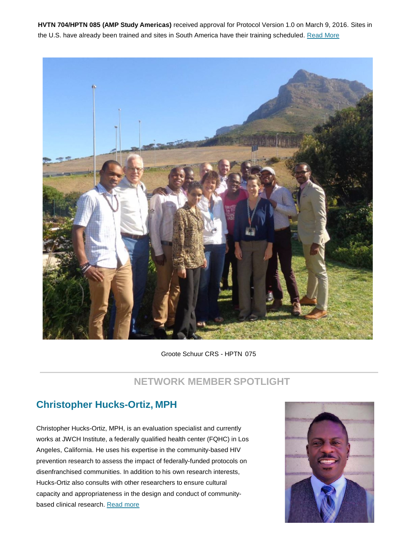**HVTN 704/HPTN 085 (AMP Study Americas)** received approval for Protocol Version 1.0 on March 9, 2016. Sites in the U.S. have already been trained and sites in South America have their training scheduled[. Read More](https://t.e2ma.net/click/gjmqn/wbvofp/gffidi)



Groote Schuur CRS - HPTN 075

# **NETWORK MEMBER SPOTLIGHT**

# **Christopher Hucks-Ortiz, MPH**

Christopher Hucks-Ortiz, MPH, is an evaluation specialist and currently works at JWCH Institute, a federally qualified health center (FQHC) in Los Angeles, California. He uses his expertise in the community-based HIV prevention research to assess the impact of federally-funded protocols on disenfranchised communities. In addition to his own research interests, Hucks-Ortiz also consults with other researchers to ensure cultural capacity and appropriateness in the design and conduct of community-based clinical research. [Read](https://t.e2ma.net/click/gjmqn/wbvofp/w7fidi) more